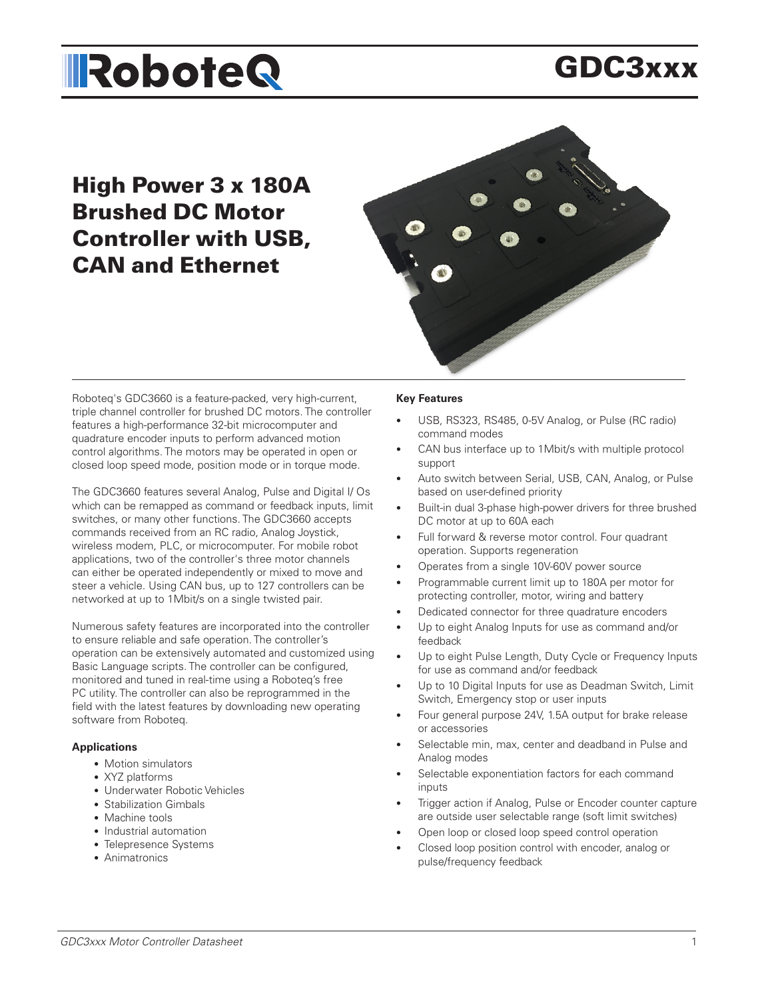# GDC3xxx

# High Power 3 x 180A Brushed DC Motor Controller with USB, CAN and Ethernet



Roboteq's GDC3660 is a feature-packed, very high-current, triple channel controller for brushed DC motors. The controller features a high-performance 32-bit microcomputer and quadrature encoder inputs to perform advanced motion control algorithms. The motors may be operated in open or closed loop speed mode, position mode or in torque mode.

The GDC3660 features several Analog, Pulse and Digital I/ Os which can be remapped as command or feedback inputs, limit switches, or many other functions. The GDC3660 accepts commands received from an RC radio, Analog Joystick, wireless modem, PLC, or microcomputer. For mobile robot applications, two of the controller's three motor channels can either be operated independently or mixed to move and steer a vehicle. Using CAN bus, up to 127 controllers can be networked at up to 1Mbit/s on a single twisted pair.

Numerous safety features are incorporated into the controller to ensure reliable and safe operation. The controller's operation can be extensively automated and customized using Basic Language scripts. The controller can be configured, monitored and tuned in real-time using a Roboteq's free PC utility. The controller can also be reprogrammed in the field with the latest features by downloading new operating software from Roboteq.

#### **Applications**

- Motion simulators
- XYZ platforms
- Underwater Robotic Vehicles
- Stabilization Gimbals
- Machine tools
- Industrial automation
- Telepresence Systems
- Animatronics

#### **Key Features**

- USB, RS323, RS485, 0-5V Analog, or Pulse (RC radio) command modes
- CAN bus interface up to 1Mbit/s with multiple protocol support
- Auto switch between Serial, USB, CAN, Analog, or Pulse based on user-defined priority
- Built-in dual 3-phase high-power drivers for three brushed DC motor at up to 60A each
- Full forward & reverse motor control. Four quadrant operation. Supports regeneration
- Operates from a single 10V-60V power source
- Programmable current limit up to 180A per motor for protecting controller, motor, wiring and battery
- Dedicated connector for three quadrature encoders
- Up to eight Analog Inputs for use as command and/or feedback
- Up to eight Pulse Length, Duty Cycle or Frequency Inputs for use as command and/or feedback
- Up to 10 Digital Inputs for use as Deadman Switch, Limit Switch, Emergency stop or user inputs
- Four general purpose 24V, 1.5A output for brake release or accessories
- Selectable min, max, center and deadband in Pulse and Analog modes
- Selectable exponentiation factors for each command inputs
- Trigger action if Analog, Pulse or Encoder counter capture are outside user selectable range (soft limit switches)
- Open loop or closed loop speed control operation
- Closed loop position control with encoder, analog or pulse/frequency feedback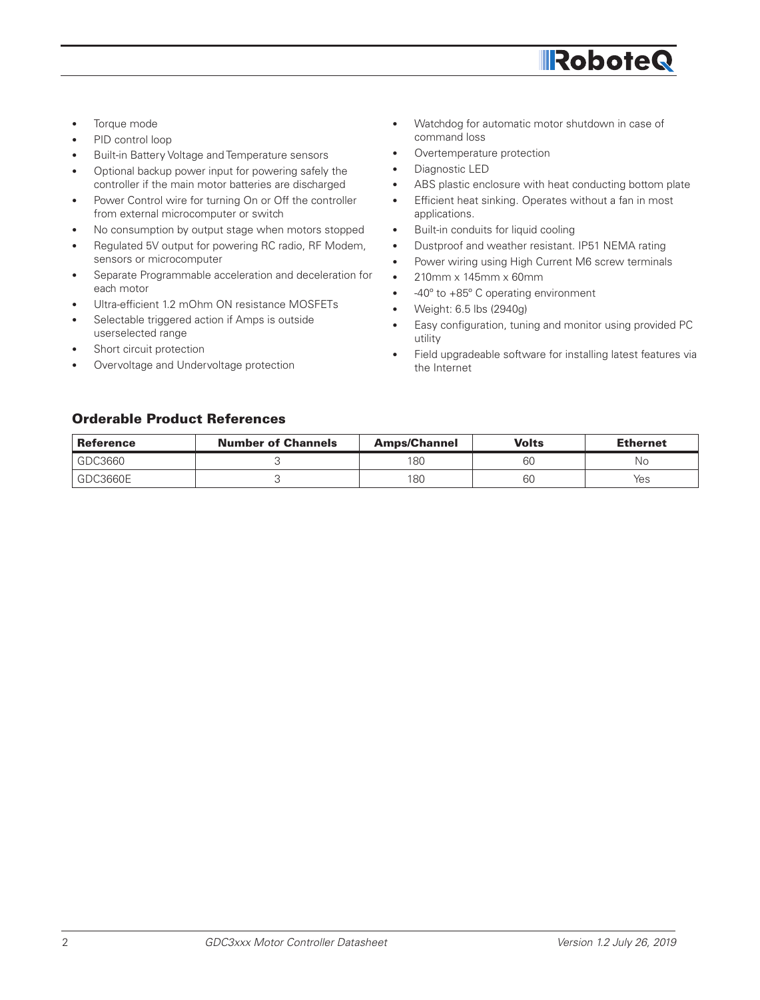

- Torque mode
- PID control loop
- Built-in Battery Voltage and Temperature sensors
- Optional backup power input for powering safely the controller if the main motor batteries are discharged
- Power Control wire for turning On or Off the controller from external microcomputer or switch
- No consumption by output stage when motors stopped
- Regulated 5V output for powering RC radio, RF Modem, sensors or microcomputer
- Separate Programmable acceleration and deceleration for each motor
- Ultra-efficient 1.2 mOhm ON resistance MOSFETs
- Selectable triggered action if Amps is outside userselected range
- Short circuit protection
- Overvoltage and Undervoltage protection
- Watchdog for automatic motor shutdown in case of command loss
- Overtemperature protection
- Diagnostic LED
- ABS plastic enclosure with heat conducting bottom plate
- Efficient heat sinking. Operates without a fan in most applications.
- Built-in conduits for liquid cooling
- Dustproof and weather resistant. IP51 NEMA rating
- Power wiring using High Current M6 screw terminals
- 210mm x 145mm x 60mm
- -40º to +85º C operating environment
- Weight: 6.5 lbs (2940g)
- Easy configuration, tuning and monitor using provided PC utility
- Field upgradeable software for installing latest features via the Internet

#### Orderable Product References

| <b>Reference</b> | <b>Number of Channels</b> | <b>Amps/Channel</b> | Volts | <b>Ethernet</b> |
|------------------|---------------------------|---------------------|-------|-----------------|
| GDC3660          |                           | 180                 | 60    | No              |
| GDC3660E         |                           | 180                 | 60    | Yes             |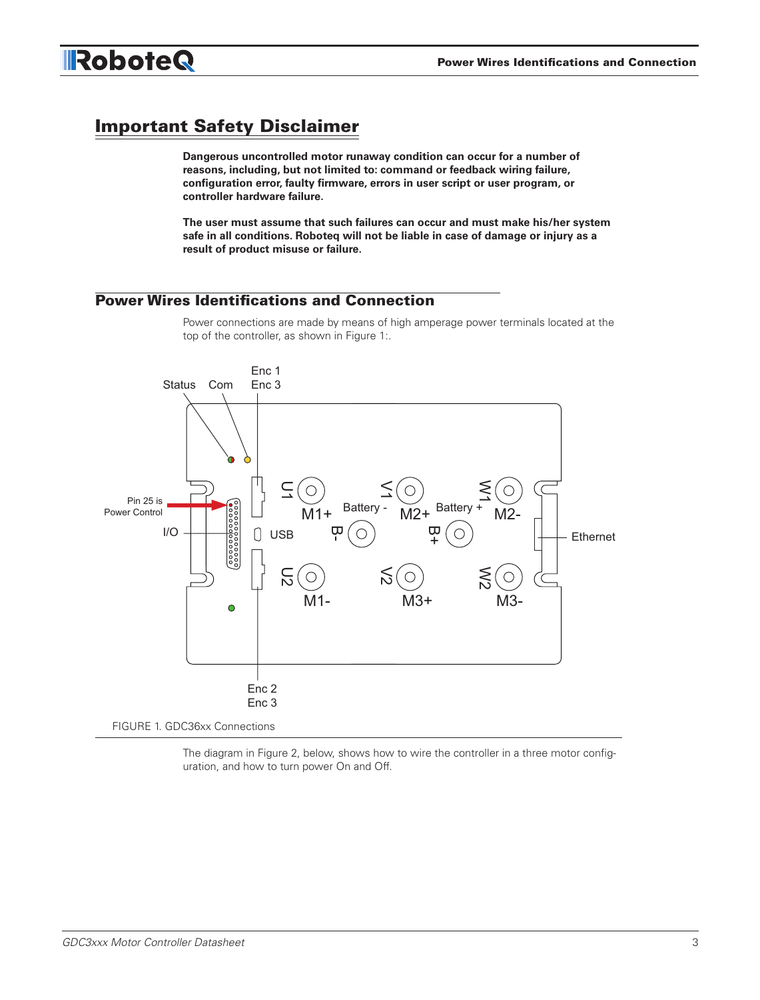

# Important Safety Disclaimer

RoboteQ

**Dangerous uncontrolled motor runaway condition can occur for a number of reasons, including, but not limited to: command or feedback wiring failure, configuration error, faulty firmware, errors in user script or user program, or controller hardware failure.** 

**The user must assume that such failures can occur and must make his/her system safe in all conditions. Roboteq will not be liable in case of damage or injury as a result of product misuse or failure.**

## Power Wires Identifications and Connection

Power connections are made by means of high amperage power terminals located at the top of the controller, as shown in Figure 1:.



The diagram in Figure 2, below, shows how to wire the controller in a three motor configuration, and how to turn power On and Off.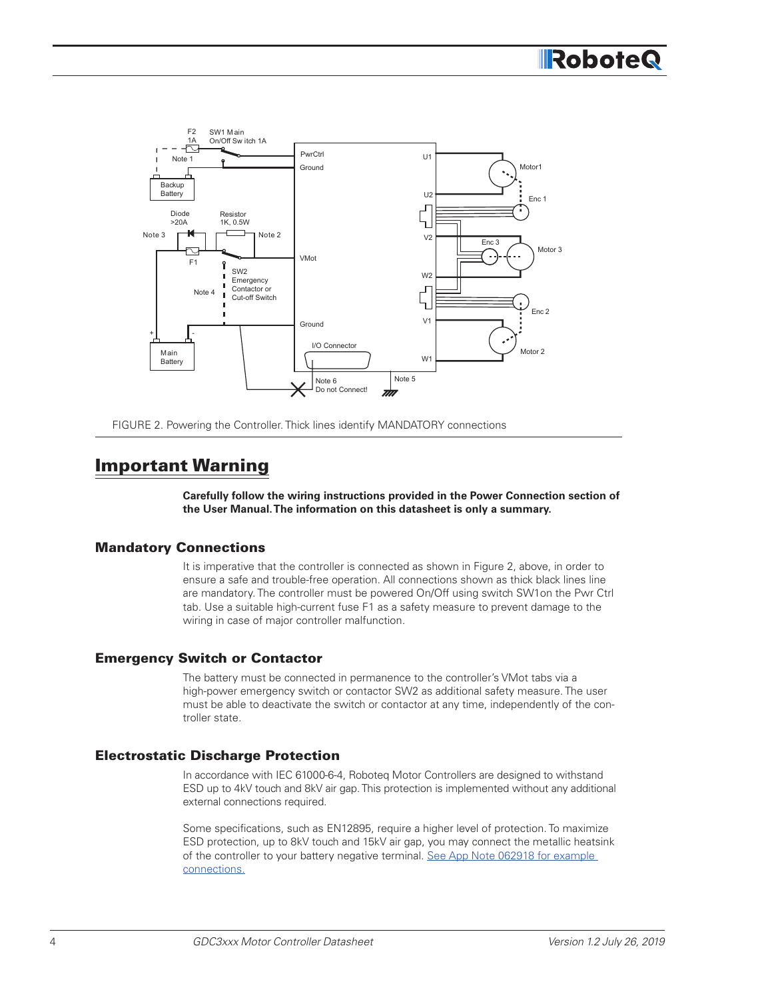

FIGURE 2. Powering the Controller. Thick lines identify MANDATORY connections

# Important Warning

**Carefully follow the wiring instructions provided in the Power Connection section of the User Manual. The information on this datasheet is only a summary.**

#### Mandatory Connections

It is imperative that the controller is connected as shown in Figure 2, above, in order to ensure a safe and trouble-free operation. All connections shown as thick black lines line are mandatory. The controller must be powered On/Off using switch SW1on the Pwr Ctrl tab. Use a suitable high-current fuse F1 as a safety measure to prevent damage to the wiring in case of major controller malfunction.

#### Emergency Switch or Contactor

The battery must be connected in permanence to the controller's VMot tabs via a high-power emergency switch or contactor SW2 as additional safety measure. The user must be able to deactivate the switch or contactor at any time, independently of the controller state.

#### Electrostatic Discharge Protection

In accordance with IEC 61000-6-4, Roboteq Motor Controllers are designed to withstand ESD up to 4kV touch and 8kV air gap. This protection is implemented without any additional external connections required.

Some specifications, such as EN12895, require a higher level of protection. To maximize ESD protection, up to 8kV touch and 15kV air gap, you may connect the metallic heatsink of the controller to your battery negative terminal. See App Note 062918 for example [connections.](https://www.roboteq.com/docs/AppNote_062918_-_ESD.pdf)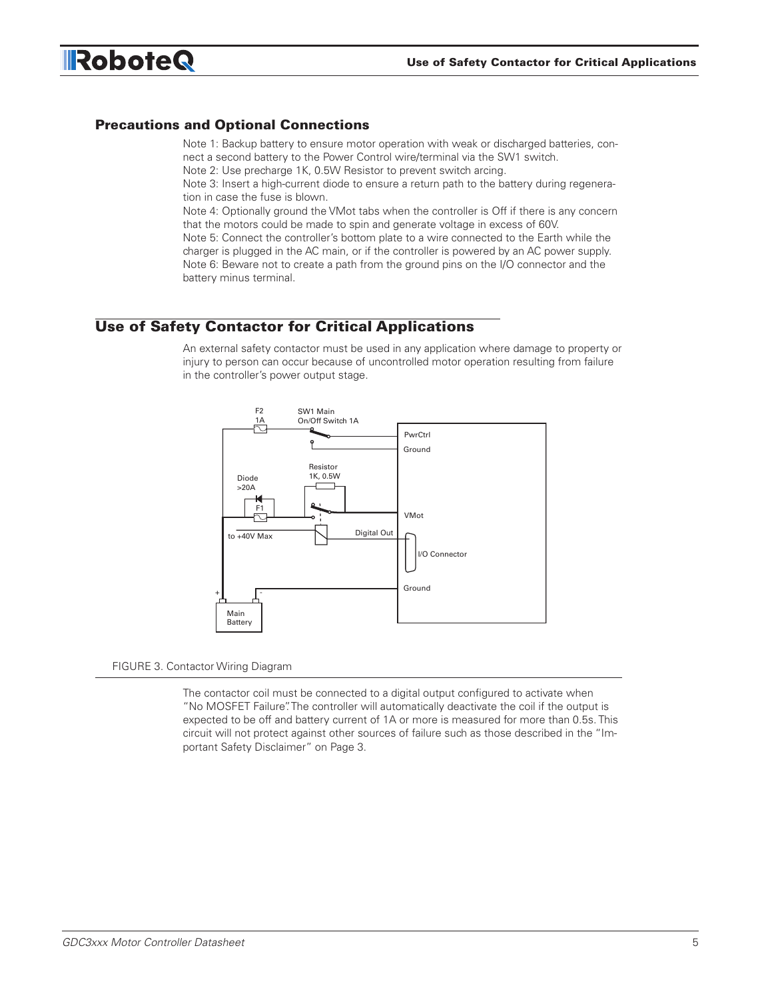

#### Precautions and Optional Connections

Note 1: Backup battery to ensure motor operation with weak or discharged batteries, connect a second battery to the Power Control wire/terminal via the SW1 switch.

Note 2: Use precharge 1K, 0.5W Resistor to prevent switch arcing.

Note 3: Insert a high-current diode to ensure a return path to the battery during regeneration in case the fuse is blown.

Note 4: Optionally ground the VMot tabs when the controller is Off if there is any concern that the motors could be made to spin and generate voltage in excess of 60V.

Note 5: Connect the controller's bottom plate to a wire connected to the Earth while the charger is plugged in the AC main, or if the controller is powered by an AC power supply. Note 6: Beware not to create a path from the ground pins on the I/O connector and the battery minus terminal.

#### Use of Safety Contactor for Critical Applications

An external safety contactor must be used in any application where damage to property or injury to person can occur because of uncontrolled motor operation resulting from failure in the controller's power output stage.



#### FIGURE 3. Contactor Wiring Diagram

The contactor coil must be connected to a digital output configured to activate when "No MOSFET Failure". The controller will automatically deactivate the coil if the output is expected to be off and battery current of 1A or more is measured for more than 0.5s. This circuit will not protect against other sources of failure such as those described in the "Important Safety Disclaimer" on Page 3.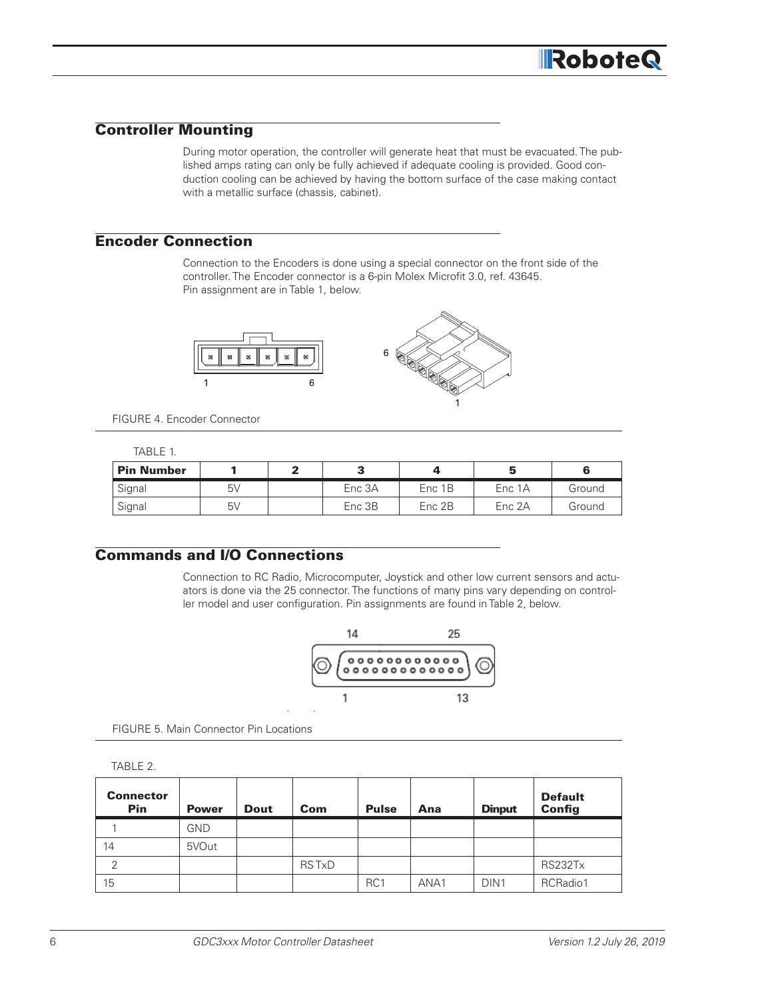## Controller Mounting

During motor operation, the controller will generate heat that must be evacuated. The published amps rating can only be fully achieved if adequate cooling is provided. Good conduction cooling can be achieved by having the bottom surface of the case making contact with a metallic surface (chassis, cabinet).

#### Encoder Connection

Connection to the Encoders is done using a special connector on the front side of the controller. The Encoder connector is a 6-pin Molex Microfit 3.0, ref. 43645. Pin assignment are in Table 1, below.



FIGURE 4. Encoder Connector

|--|--|

| <b>Pin Number</b> |    | -      |        |        |        |
|-------------------|----|--------|--------|--------|--------|
| Signal            | 5V | Enc 3A | Enc 1B | Enc 1A | Ground |
| Signal            | 5V | Enc 3B | Enc 2B | Enc 2A | Ground |

#### Commands and I/O Connections

Connection to RC Radio, Microcomputer, Joystick and other low current sensors and actuators is done via the 25 connector. The functions of many pins vary depending on controller model and user configuration. Pin assignments are found in Table 2, below.



FIGURE 5. Main Connector Pin Locations

TABLE 2.

| <b>Connector</b><br>Pin | <b>Power</b> | <b>Dout</b> | Com          | <b>Pulse</b>    | Ana  | <b>Dinput</b>    | <b>Default</b><br><b>Config</b> |
|-------------------------|--------------|-------------|--------------|-----------------|------|------------------|---------------------------------|
|                         | GND          |             |              |                 |      |                  |                                 |
| 14                      | 5VOut        |             |              |                 |      |                  |                                 |
| 2                       |              |             | <b>RSTxD</b> |                 |      |                  | RS232Tx                         |
| 15                      |              |             |              | RC <sub>1</sub> | ANA1 | DIN <sub>1</sub> | RCRadio1                        |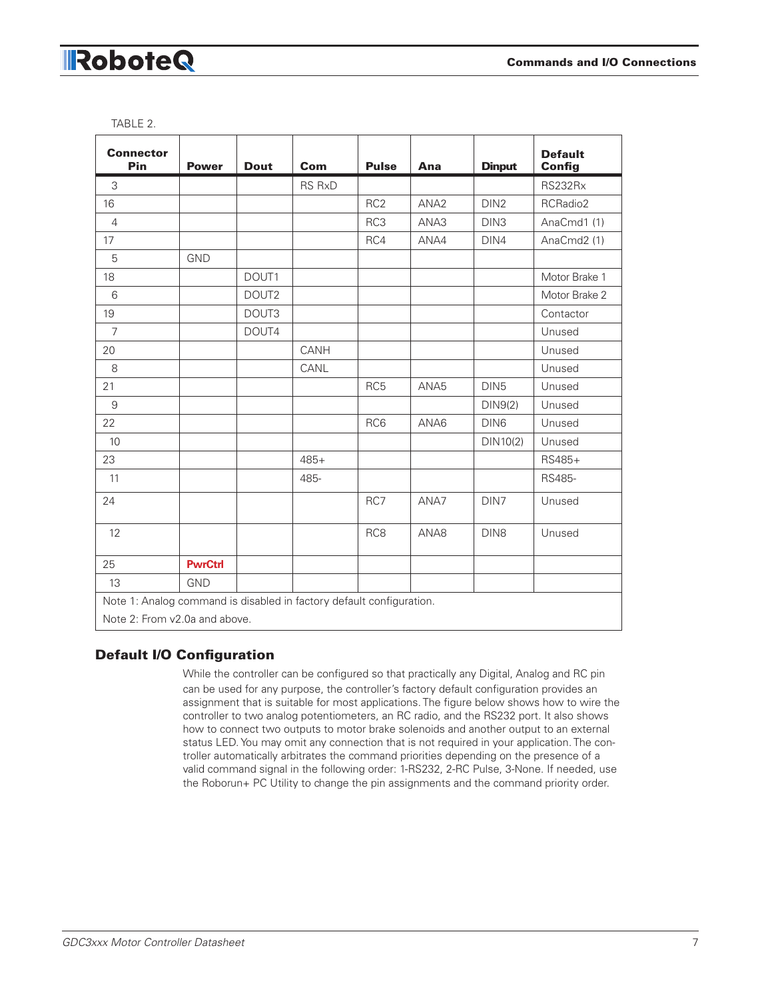| <b>Connector</b><br>Pin                                              | <b>Power</b>   | <b>Dout</b>       | Com           | <b>Pulse</b>    | Ana              | <b>Dinput</b>    | <b>Default</b><br><b>Config</b> |
|----------------------------------------------------------------------|----------------|-------------------|---------------|-----------------|------------------|------------------|---------------------------------|
| 3                                                                    |                |                   | <b>RS RxD</b> |                 |                  |                  | RS232Rx                         |
| 16                                                                   |                |                   |               | RC <sub>2</sub> | ANA <sub>2</sub> | DIN <sub>2</sub> | RCRadio2                        |
| $\overline{4}$                                                       |                |                   |               | RC3             | ANA3             | DIN <sub>3</sub> | AnaCmd1 (1)                     |
| 17                                                                   |                |                   |               | RC4             | ANA4             | DIN4             | AnaCmd2 (1)                     |
| 5                                                                    | <b>GND</b>     |                   |               |                 |                  |                  |                                 |
| 18                                                                   |                | DOUT1             |               |                 |                  |                  | Motor Brake 1                   |
| 6                                                                    |                | DOUT <sub>2</sub> |               |                 |                  |                  | Motor Brake 2                   |
| 19                                                                   |                | DOUT3             |               |                 |                  |                  | Contactor                       |
| $\overline{7}$                                                       |                | DOUT4             |               |                 |                  |                  | Unused                          |
| 20                                                                   |                |                   | CANH          |                 |                  |                  | Unused                          |
| 8                                                                    |                |                   | CANL          |                 |                  |                  | Unused                          |
| 21                                                                   |                |                   |               | RC <sub>5</sub> | ANA <sub>5</sub> | DIN <sub>5</sub> | Unused                          |
| 9                                                                    |                |                   |               |                 |                  | DIN9(2)          | Unused                          |
| 22                                                                   |                |                   |               | RC6             | ANA6             | DIN <sub>6</sub> | Unused                          |
| 10                                                                   |                |                   |               |                 |                  | DIN10(2)         | Unused                          |
| 23                                                                   |                |                   | $485+$        |                 |                  |                  | RS485+                          |
| 11                                                                   |                |                   | 485-          |                 |                  |                  | <b>RS485-</b>                   |
| 24                                                                   |                |                   |               | RC7             | ANA7             | DIN7             | Unused                          |
| 12                                                                   |                |                   |               | RC <sub>8</sub> | ANA8             | DIN <sub>8</sub> | Unused                          |
| 25                                                                   | <b>PwrCtrl</b> |                   |               |                 |                  |                  |                                 |
| 13                                                                   | <b>GND</b>     |                   |               |                 |                  |                  |                                 |
| Note 1: Analog command is disabled in factory default configuration. |                |                   |               |                 |                  |                  |                                 |
| Note 2: From v2.0a and above.                                        |                |                   |               |                 |                  |                  |                                 |

TABLE 2.

#### Default I/O Configuration

While the controller can be configured so that practically any Digital, Analog and RC pin can be used for any purpose, the controller's factory default configuration provides an assignment that is suitable for most applications. The figure below shows how to wire the controller to two analog potentiometers, an RC radio, and the RS232 port. It also shows how to connect two outputs to motor brake solenoids and another output to an external status LED. You may omit any connection that is not required in your application. The controller automatically arbitrates the command priorities depending on the presence of a valid command signal in the following order: 1-RS232, 2-RC Pulse, 3-None. If needed, use the Roborun+ PC Utility to change the pin assignments and the command priority order.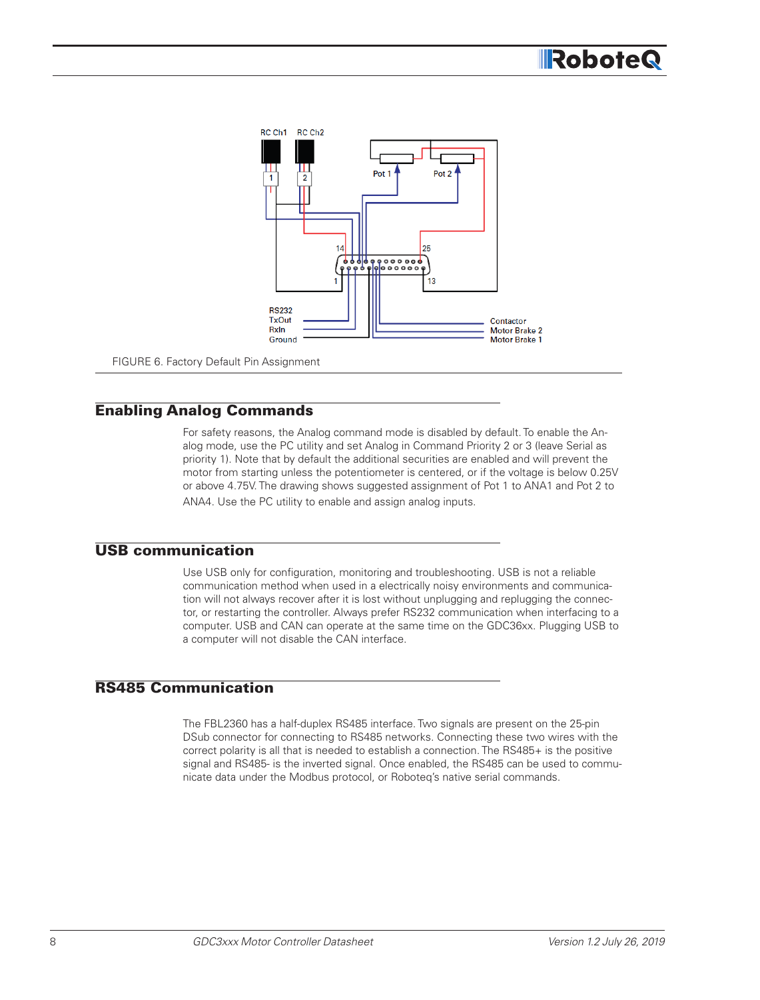

FIGURE 6. Factory Default Pin Assignment

#### Enabling Analog Commands

For safety reasons, the Analog command mode is disabled by default. To enable the Analog mode, use the PC utility and set Analog in Command Priority 2 or 3 (leave Serial as priority 1). Note that by default the additional securities are enabled and will prevent the motor from starting unless the potentiometer is centered, or if the voltage is below 0.25V or above 4.75V. The drawing shows suggested assignment of Pot 1 to ANA1 and Pot 2 to ANA4. Use the PC utility to enable and assign analog inputs.

#### USB communication

Use USB only for configuration, monitoring and troubleshooting. USB is not a reliable communication method when used in a electrically noisy environments and communication will not always recover after it is lost without unplugging and replugging the connector, or restarting the controller. Always prefer RS232 communication when interfacing to a computer. USB and CAN can operate at the same time on the GDC36xx. Plugging USB to a computer will not disable the CAN interface.

#### RS485 Communication

The FBL2360 has a half-duplex RS485 interface. Two signals are present on the 25-pin DSub connector for connecting to RS485 networks. Connecting these two wires with the correct polarity is all that is needed to establish a connection. The RS485+ is the positive signal and RS485- is the inverted signal. Once enabled, the RS485 can be used to communicate data under the Modbus protocol, or Roboteq's native serial commands.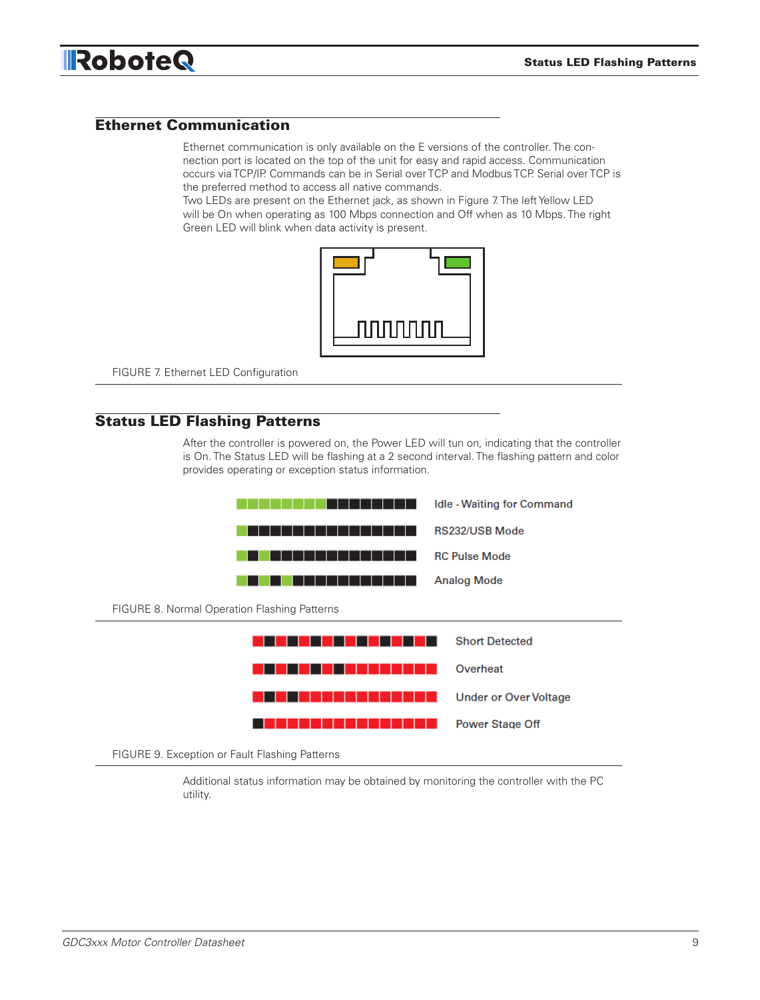

#### Ethernet Communication

Ethernet communication is only available on the E versions of the controller. The connection port is located on the top of the unit for easy and rapid access. Communication occurs via TCP/IP. Commands can be in Serial over TCP and Modbus TCP. Serial over TCP is the preferred method to access all native commands.

Two LEDs are present on the Ethernet jack, as shown in Figure 7. The left Yellow LED will be On when operating as 100 Mbps connection and Off when as 10 Mbps. The right Green LED will blink when data activity is present.



FIGURE 7. Ethernet LED Configuration

#### Status LED Flashing Patterns

After the controller is powered on, the Power LED will tun on, indicating that the controller is On. The Status LED will be flashing at a 2 second interval. The flashing pattern and color provides operating or exception status information.



FIGURE 9. Exception or Fault Flashing Patterns

Additional status information may be obtained by monitoring the controller with the PC utility.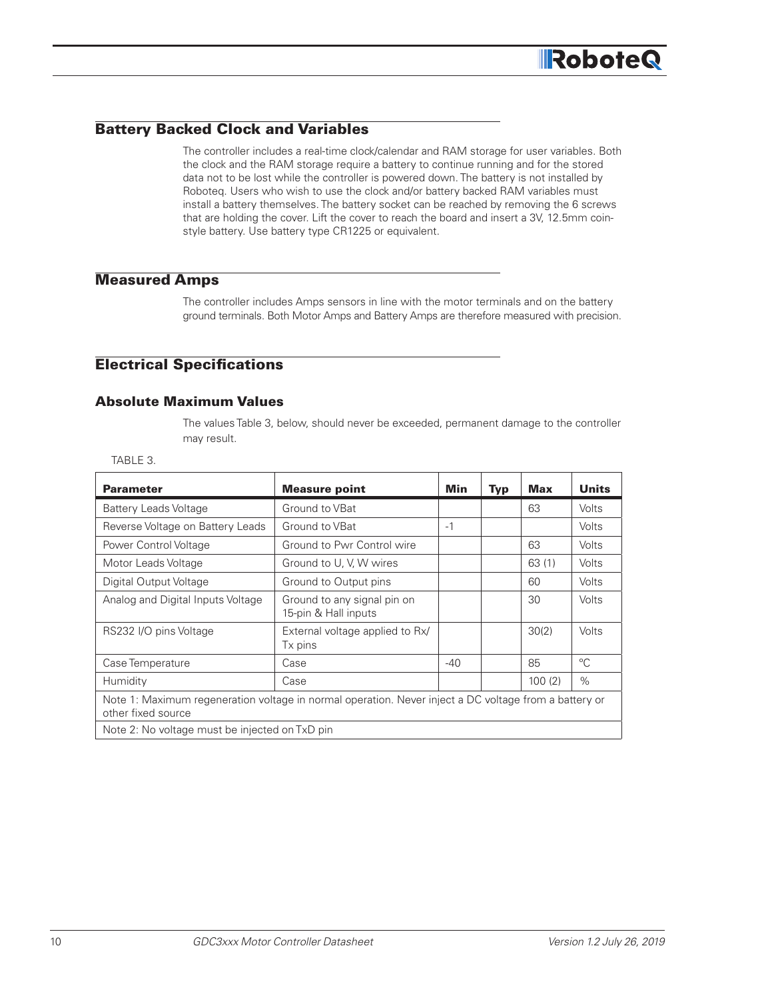#### Battery Backed Clock and Variables

The controller includes a real-time clock/calendar and RAM storage for user variables. Both the clock and the RAM storage require a battery to continue running and for the stored data not to be lost while the controller is powered down. The battery is not installed by Roboteq. Users who wish to use the clock and/or battery backed RAM variables must install a battery themselves. The battery socket can be reached by removing the 6 screws that are holding the cover. Lift the cover to reach the board and insert a 3V, 12.5mm coinstyle battery. Use battery type CR1225 or equivalent.

#### Measured Amps

The controller includes Amps sensors in line with the motor terminals and on the battery ground terminals. Both Motor Amps and Battery Amps are therefore measured with precision.

#### Electrical Specifications

#### Absolute Maximum Values

The values Table 3, below, should never be exceeded, permanent damage to the controller may result.

| ×  |
|----|
| ۰. |
|    |

| <b>Parameter</b>                                                                                                            | <b>Measure point</b>                                | Min   | <b>Typ</b> | <b>Max</b> | <b>Units</b> |  |
|-----------------------------------------------------------------------------------------------------------------------------|-----------------------------------------------------|-------|------------|------------|--------------|--|
| <b>Battery Leads Voltage</b>                                                                                                | Ground to VBat                                      |       |            | 63         | <b>Volts</b> |  |
| Reverse Voltage on Battery Leads                                                                                            | Ground to VBat                                      | $-1$  |            |            | <b>Volts</b> |  |
| Power Control Voltage                                                                                                       | Ground to Pwr Control wire                          |       |            | 63         | Volts        |  |
| Motor Leads Voltage                                                                                                         | Ground to U, V, W wires                             |       |            | 63(1)      | <b>Volts</b> |  |
| Digital Output Voltage                                                                                                      | Ground to Output pins                               |       |            | 60         | <b>Volts</b> |  |
| Analog and Digital Inputs Voltage                                                                                           | Ground to any signal pin on<br>15-pin & Hall inputs |       |            | 30         | Volts        |  |
| RS232 I/O pins Voltage                                                                                                      | External voltage applied to Rx/<br>Tx pins          |       |            | 30(2)      | <b>Volts</b> |  |
| Case Temperature                                                                                                            | Case                                                | $-40$ |            | 85         | $^{\circ}C$  |  |
| Humidity                                                                                                                    | Case                                                |       |            | 100(2)     | $\%$         |  |
| Note 1: Maximum regeneration voltage in normal operation. Never inject a DC voltage from a battery or<br>other fixed source |                                                     |       |            |            |              |  |
| Note 2: No voltage must be injected on TxD pin                                                                              |                                                     |       |            |            |              |  |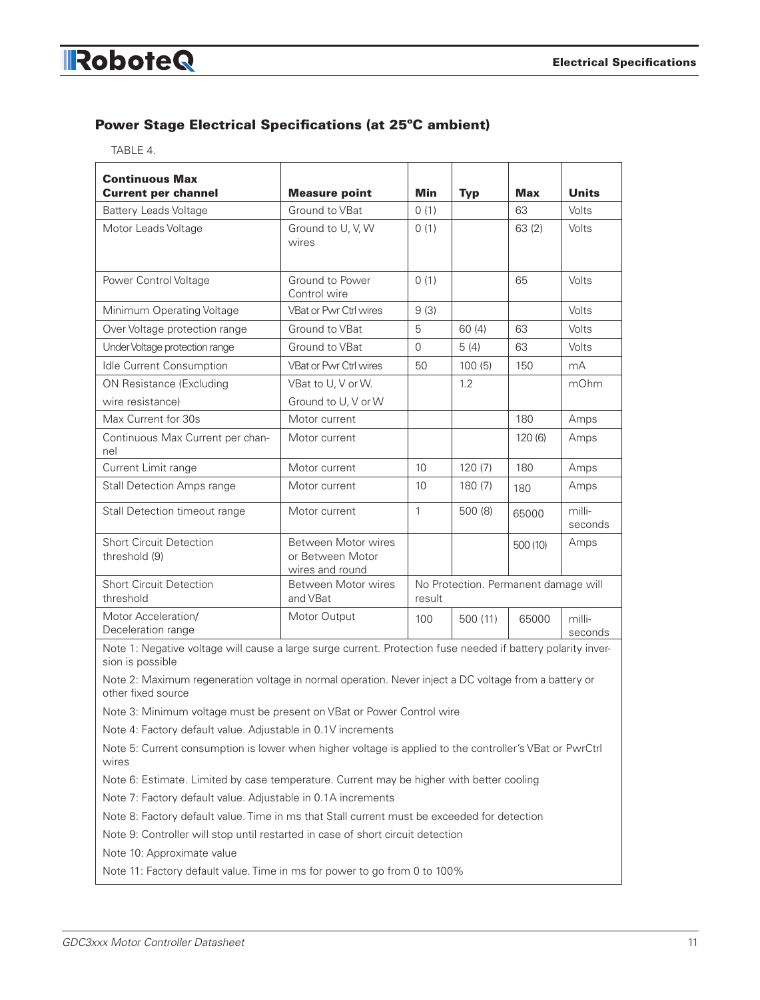# Power Stage Electrical Specifications (at 25ºC ambient)

|--|--|

| <b>Continuous Max</b><br><b>Current per channel</b>                                                                              | <b>Measure point</b>                                       | <b>Min</b>          | <b>Typ</b>                           | <b>Max</b> | <b>Units</b>      |
|----------------------------------------------------------------------------------------------------------------------------------|------------------------------------------------------------|---------------------|--------------------------------------|------------|-------------------|
| Battery Leads Voltage                                                                                                            | Ground to VBat                                             | 0(1)                |                                      | 63         | Volts             |
| Motor Leads Voltage                                                                                                              | Ground to U, V, W<br>wires                                 | 0(1)                |                                      | 63(2)      | Volts             |
| Power Control Voltage                                                                                                            | Ground to Power<br>Control wire                            | 0(1)                |                                      | 65         | Volts             |
| Minimum Operating Voltage                                                                                                        | VBat or Pwr Ctrl wires                                     | 9(3)                |                                      |            | Volts             |
| Over Voltage protection range                                                                                                    | Ground to VBat                                             | 5                   | 60(4)                                | 63         | Volts             |
| Under Voltage protection range                                                                                                   | Ground to VBat                                             | $\mathsf{O}\xspace$ | 5(4)                                 | 63         | Volts             |
| Idle Current Consumption                                                                                                         | <b>VBat or Pwr Ctrl wires</b>                              | 50                  | 100(5)                               | 150        | mA                |
| ON Resistance (Excluding                                                                                                         | VBat to U, V or W.                                         |                     | 1.2                                  |            | mOhm              |
| wire resistance)                                                                                                                 | Ground to U, V or W                                        |                     |                                      |            |                   |
| Max Current for 30s                                                                                                              | Motor current                                              |                     |                                      | 180        | Amps              |
| Continuous Max Current per chan-<br>nel                                                                                          | Motor current                                              |                     |                                      | 120(6)     | Amps              |
| Current Limit range                                                                                                              | Motor current                                              | 10                  | 120(7)                               | 180        | Amps              |
| <b>Stall Detection Amps range</b>                                                                                                | Motor current                                              | 10                  | 180(7)                               | 180        | Amps              |
| Stall Detection timeout range                                                                                                    | Motor current                                              | $\mathbf{1}$        | 500(8)                               | 65000      | milli-<br>seconds |
| <b>Short Circuit Detection</b><br>threshold (9)                                                                                  | Between Motor wires<br>or Between Motor<br>wires and round |                     |                                      | 500 (10)   | Amps              |
| <b>Short Circuit Detection</b><br>threshold                                                                                      | Between Motor wires<br>and VBat                            | result              | No Protection. Permanent damage will |            |                   |
| Motor Acceleration/<br>Deceleration range                                                                                        | Motor Output                                               | 100                 | 500(11)                              | 65000      | milli-<br>seconds |
| Note 1: Negative voltage will cause a large surge current. Protection fuse needed if battery polarity inver-<br>sion is possible |                                                            |                     |                                      |            |                   |
| Note 2: Maximum regeneration voltage in normal operation. Never inject a DC voltage from a battery or<br>other fixed source      |                                                            |                     |                                      |            |                   |
| Note 3: Minimum voltage must be present on VBat or Power Control wire                                                            |                                                            |                     |                                      |            |                   |
| Note 4: Factory default value. Adjustable in 0.1V increments                                                                     |                                                            |                     |                                      |            |                   |
| Note 5: Current consumption is lower when higher voltage is applied to the controller's VBat or PwrCtrl<br>wires                 |                                                            |                     |                                      |            |                   |
| Note 6: Estimate. Limited by case temperature. Current may be higher with better cooling                                         |                                                            |                     |                                      |            |                   |
| Note 7: Factory default value. Adjustable in 0.1A increments                                                                     |                                                            |                     |                                      |            |                   |
| Note 8: Factory default value. Time in ms that Stall current must be exceeded for detection                                      |                                                            |                     |                                      |            |                   |
| Note 9: Controller will stop until restarted in case of short circuit detection                                                  |                                                            |                     |                                      |            |                   |
| Note 10: Approximate value                                                                                                       |                                                            |                     |                                      |            |                   |
| Note 11: Factory default value. Time in ms for power to go from 0 to 100%                                                        |                                                            |                     |                                      |            |                   |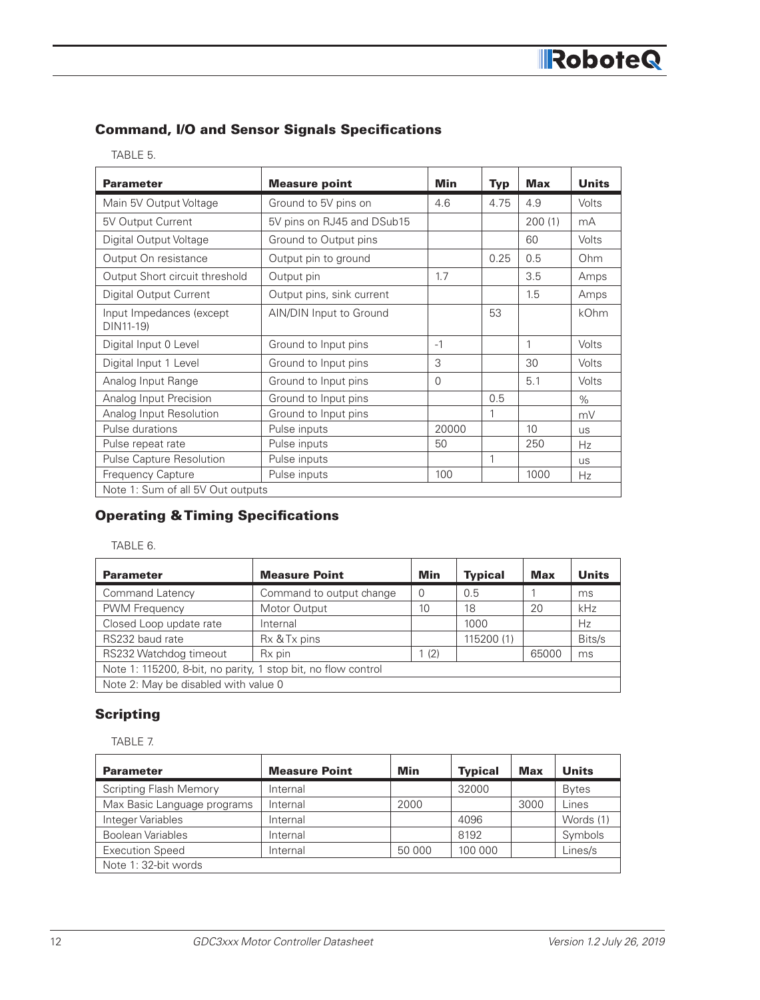### Command, I/O and Sensor Signals Specifications

| <b>Parameter</b>                      | <b>Measure point</b>       | Min      | <b>Typ</b> | <b>Max</b> | <b>Units</b> |
|---------------------------------------|----------------------------|----------|------------|------------|--------------|
| Main 5V Output Voltage                | Ground to 5V pins on       | 4.6      | 4.75       | 4.9        | Volts        |
| 5V Output Current                     | 5V pins on RJ45 and DSub15 |          |            | 200(1)     | mA           |
| Digital Output Voltage                | Ground to Output pins      |          |            | 60         | Volts        |
| Output On resistance                  | Output pin to ground       |          | 0.25       | 0.5        | Ohm          |
| Output Short circuit threshold        | Output pin                 | 1.7      |            | 3.5        | Amps         |
| Digital Output Current                | Output pins, sink current  |          |            | 1.5        | Amps         |
| Input Impedances (except<br>DIN11-19) | AIN/DIN Input to Ground    |          | 53         |            | kOhm         |
| Digital Input 0 Level                 | Ground to Input pins       | $-1$     |            | 1          | Volts        |
| Digital Input 1 Level                 | Ground to Input pins       | 3        |            | 30         | Volts        |
| Analog Input Range                    | Ground to Input pins       | $\Omega$ |            | 5.1        | Volts        |
| Analog Input Precision                | Ground to Input pins       |          | 0.5        |            | $\%$         |
| Analog Input Resolution               | Ground to Input pins       |          |            |            | mV           |
| Pulse durations                       | Pulse inputs               | 20000    |            | 10         | <b>US</b>    |
| Pulse repeat rate                     | Pulse inputs               | 50       |            | 250        | Hz           |
| Pulse Capture Resolution              | Pulse inputs               |          | 1          |            | <b>US</b>    |
| <b>Frequency Capture</b>              | Pulse inputs               | 100      |            | 1000       | <b>Hz</b>    |
| Note 1: Sum of all 5V Out outputs     |                            |          |            |            |              |

## Operating & Timing Specifications

TABLE 6.

| <b>Parameter</b>                                              | <b>Measure Point</b>     | Min      | <b>Typical</b> | <b>Max</b> | <b>Units</b> |
|---------------------------------------------------------------|--------------------------|----------|----------------|------------|--------------|
| <b>Command Latency</b>                                        | Command to output change | $\Omega$ | 0.5            |            | ms           |
| PWM Frequency                                                 | Motor Output             | 10       | 18             | 20         | kHz          |
| Closed Loop update rate                                       | Internal                 |          | 1000           |            | Hz           |
| RS232 baud rate                                               | Rx & Tx pins             |          | 115200 (1)     |            | Bits/s       |
| RS232 Watchdog timeout                                        | Rx pin                   | 1(2)     |                | 65000      | ms           |
| Note 1: 115200, 8-bit, no parity, 1 stop bit, no flow control |                          |          |                |            |              |
| Note 2: May be disabled with value 0                          |                          |          |                |            |              |

## **Scripting**

TABLE 7.

| <b>Parameter</b>              | <b>Measure Point</b> | Min    | <b>Typical</b> | <b>Max</b> | <b>Units</b> |
|-------------------------------|----------------------|--------|----------------|------------|--------------|
| <b>Scripting Flash Memory</b> | Internal             |        | 32000          |            | <b>Bytes</b> |
| Max Basic Language programs   | Internal             | 2000   |                | 3000       | Lines        |
| Integer Variables             | Internal             |        | 4096           |            | Words (1)    |
| <b>Boolean Variables</b>      | Internal             |        | 8192           |            | Symbols      |
| <b>Execution Speed</b>        | Internal             | 50 000 | 100 000        |            | Lines/s      |
| Note 1: 32-bit words          |                      |        |                |            |              |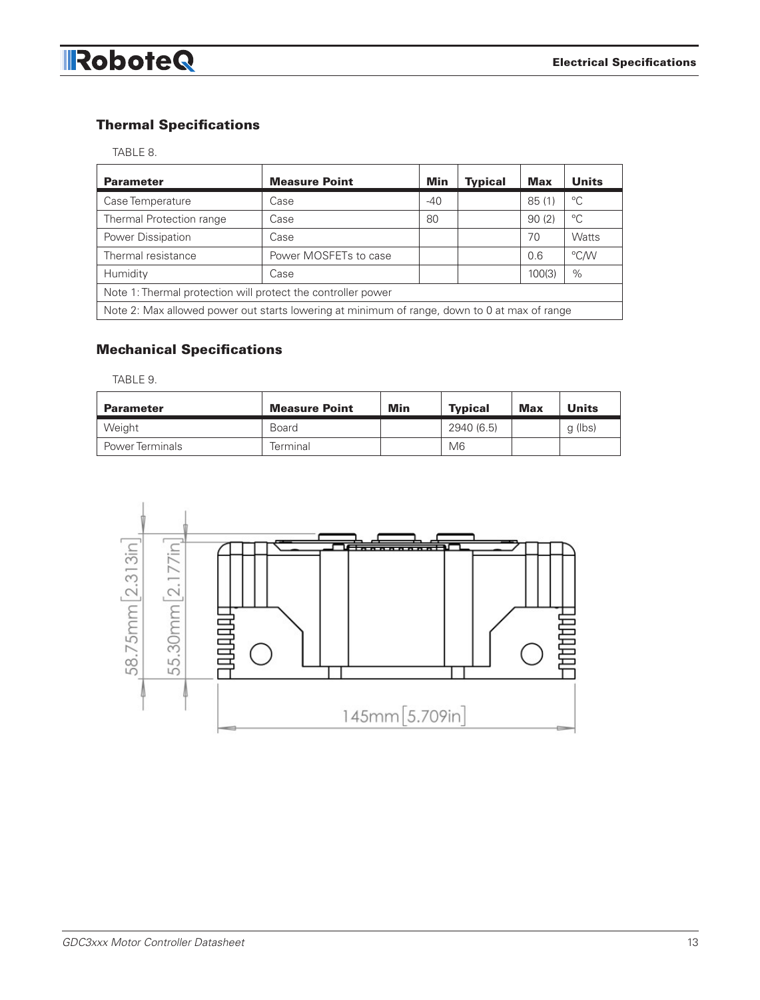# Thermal Specifications

| <b>Parameter</b>                                                                             | <b>Measure Point</b>  | Min   | <b>Typical</b> | <b>Max</b> | <b>Units</b> |  |
|----------------------------------------------------------------------------------------------|-----------------------|-------|----------------|------------|--------------|--|
| Case Temperature                                                                             | Case                  | $-40$ |                | 85(1)      | $^{\circ}C$  |  |
| Thermal Protection range                                                                     | Case                  | 80    |                | 90(2)      | °C           |  |
| Power Dissipation                                                                            | Case                  |       |                | 70         | Watts        |  |
| Thermal resistance                                                                           | Power MOSFETs to case |       |                | 0.6        | °C/W         |  |
| Humidity                                                                                     | Case                  |       |                | 100(3)     | $\%$         |  |
| Note 1: Thermal protection will protect the controller power                                 |                       |       |                |            |              |  |
| Note 2: Max allowed power out starts lowering at minimum of range, down to 0 at max of range |                       |       |                |            |              |  |

# Mechanical Specifications

TABLE 9.

| <b>Parameter</b>       | <b>Measure Point</b> | Min | <b>Typical</b> | <b>Max</b> | <b>Units</b> |
|------------------------|----------------------|-----|----------------|------------|--------------|
| Weight                 | Board                |     | 2940 (6.5)     |            | g (lbs)      |
| <b>Power Terminals</b> | Terminal             |     | M6             |            |              |